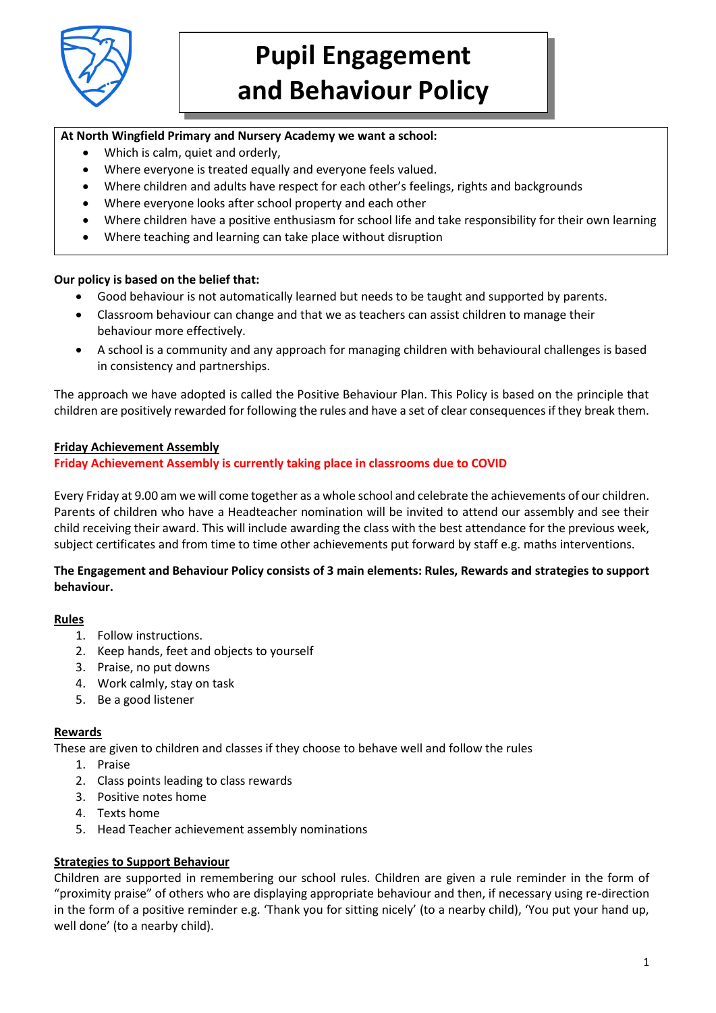

# **Pupil Engagement and Behaviour Policy**

## **At North Wingfield Primary and Nursery Academy we want a school:**

- Which is calm, quiet and orderly,
- Where everyone is treated equally and everyone feels valued.
- Where children and adults have respect for each other's feelings, rights and backgrounds
- Where everyone looks after school property and each other
- Where children have a positive enthusiasm for school life and take responsibility for their own learning
- Where teaching and learning can take place without disruption

#### **Our policy is based on the belief that:**

- Good behaviour is not automatically learned but needs to be taught and supported by parents.
- Classroom behaviour can change and that we as teachers can assist children to manage their behaviour more effectively.
- A school is a community and any approach for managing children with behavioural challenges is based in consistency and partnerships.

The approach we have adopted is called the Positive Behaviour Plan. This Policy is based on the principle that children are positively rewarded for following the rules and have a set of clear consequences if they break them.

## **Friday Achievement Assembly**

## **Friday Achievement Assembly is currently taking place in classrooms due to COVID**

Every Friday at 9.00 am we will come together as a whole school and celebrate the achievements of our children. Parents of children who have a Headteacher nomination will be invited to attend our assembly and see their child receiving their award. This will include awarding the class with the best attendance for the previous week, subject certificates and from time to time other achievements put forward by staff e.g. maths interventions.

## **The Engagement and Behaviour Policy consists of 3 main elements: Rules, Rewards and strategies to support behaviour.**

## **Rules**

- 1. Follow instructions.
- 2. Keep hands, feet and objects to yourself
- 3. Praise, no put downs
- 4. Work calmly, stay on task
- 5. Be a good listener

## **Rewards**

These are given to children and classes if they choose to behave well and follow the rules

- 1. Praise
- 2. Class points leading to class rewards
- 3. Positive notes home
- 4. Texts home
- 5. Head Teacher achievement assembly nominations

## **Strategies to Support Behaviour**

Children are supported in remembering our school rules. Children are given a rule reminder in the form of "proximity praise" of others who are displaying appropriate behaviour and then, if necessary using re-direction in the form of a positive reminder e.g. 'Thank you for sitting nicely' (to a nearby child), 'You put your hand up, well done' (to a nearby child).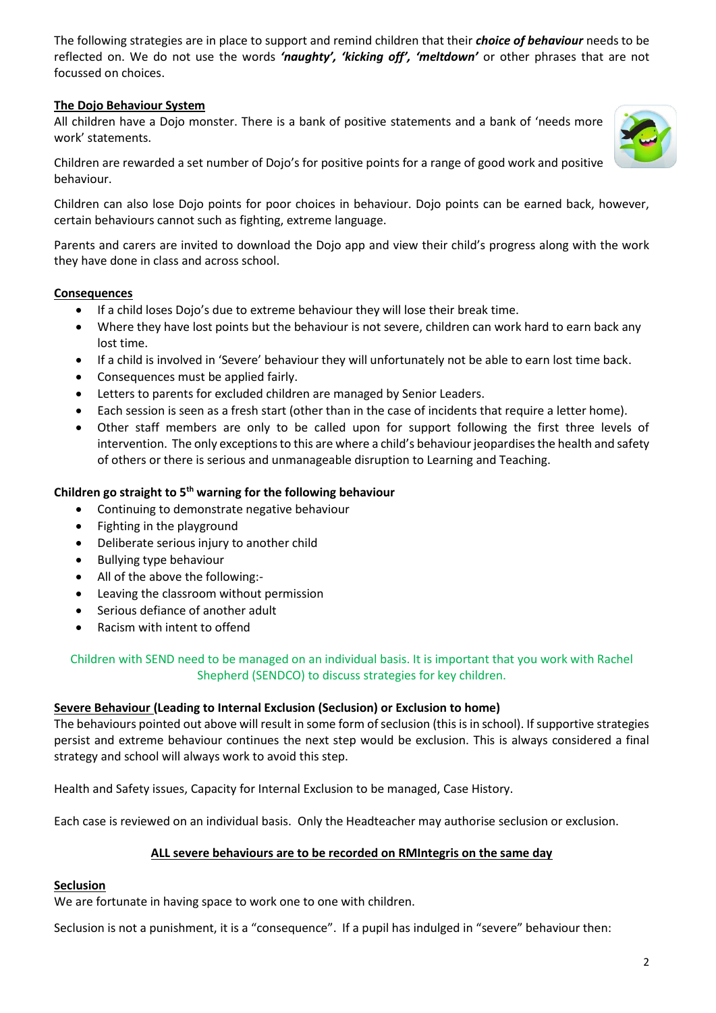The following strategies are in place to support and remind children that their *choice of behaviour* needs to be reflected on. We do not use the words *'naughty', 'kicking off', 'meltdown'* or other phrases that are not focussed on choices.

## **The Dojo Behaviour System**

All children have a Dojo monster. There is a bank of positive statements and a bank of 'needs more work' statements.



Children are rewarded a set number of Dojo's for positive points for a range of good work and positive behaviour.

Children can also lose Dojo points for poor choices in behaviour. Dojo points can be earned back, however, certain behaviours cannot such as fighting, extreme language.

Parents and carers are invited to download the Dojo app and view their child's progress along with the work they have done in class and across school.

## **Consequences**

- If a child loses Dojo's due to extreme behaviour they will lose their break time.
- Where they have lost points but the behaviour is not severe, children can work hard to earn back any lost time.
- If a child is involved in 'Severe' behaviour they will unfortunately not be able to earn lost time back.
- Consequences must be applied fairly.
- Letters to parents for excluded children are managed by Senior Leaders.
- Each session is seen as a fresh start (other than in the case of incidents that require a letter home).
- Other staff members are only to be called upon for support following the first three levels of intervention. The only exceptions to this are where a child's behaviour jeopardises the health and safety of others or there is serious and unmanageable disruption to Learning and Teaching.

#### **Children go straight to 5th warning for the following behaviour**

- Continuing to demonstrate negative behaviour
- Fighting in the playground
- Deliberate serious injury to another child
- Bullying type behaviour
- All of the above the following:-
- Leaving the classroom without permission
- Serious defiance of another adult
- Racism with intent to offend

Children with SEND need to be managed on an individual basis. It is important that you work with Rachel Shepherd (SENDCO) to discuss strategies for key children.

#### **Severe Behaviour (Leading to Internal Exclusion (Seclusion) or Exclusion to home)**

The behaviours pointed out above will result in some form of seclusion (this is in school). If supportive strategies persist and extreme behaviour continues the next step would be exclusion. This is always considered a final strategy and school will always work to avoid this step.

Health and Safety issues, Capacity for Internal Exclusion to be managed, Case History.

Each case is reviewed on an individual basis. Only the Headteacher may authorise seclusion or exclusion.

## **ALL severe behaviours are to be recorded on RMIntegris on the same day**

#### **Seclusion**

We are fortunate in having space to work one to one with children.

Seclusion is not a punishment, it is a "consequence". If a pupil has indulged in "severe" behaviour then: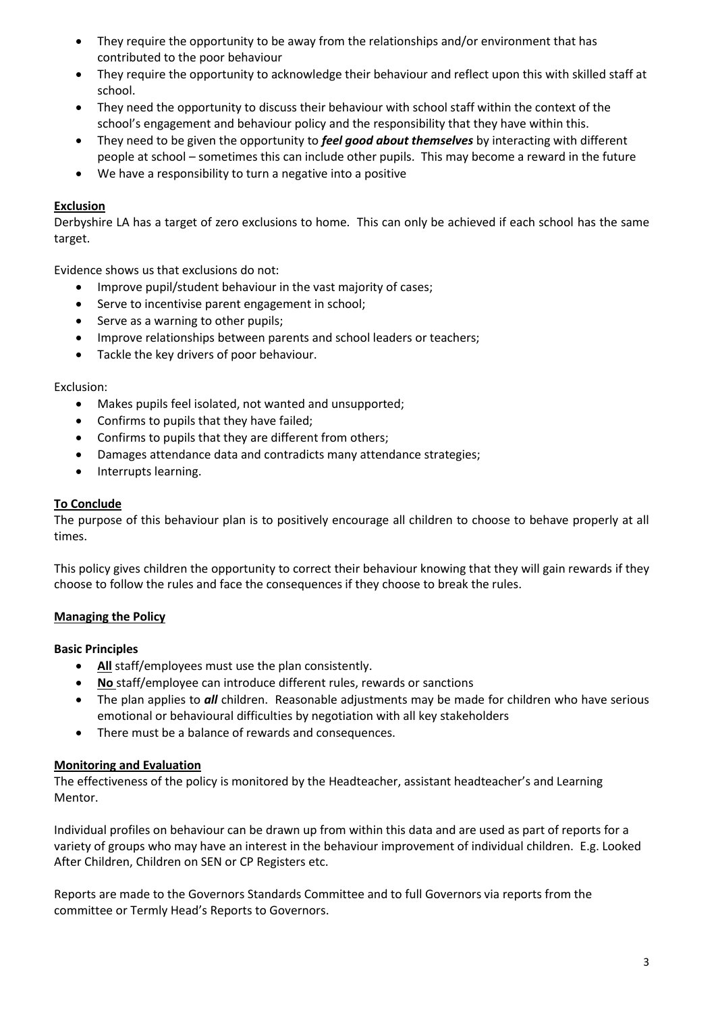- They require the opportunity to be away from the relationships and/or environment that has contributed to the poor behaviour
- They require the opportunity to acknowledge their behaviour and reflect upon this with skilled staff at school.
- They need the opportunity to discuss their behaviour with school staff within the context of the school's engagement and behaviour policy and the responsibility that they have within this.
- They need to be given the opportunity to *feel good about themselves* by interacting with different people at school – sometimes this can include other pupils. This may become a reward in the future
- We have a responsibility to turn a negative into a positive

### **Exclusion**

Derbyshire LA has a target of zero exclusions to home. This can only be achieved if each school has the same target.

Evidence shows us that exclusions do not:

- Improve pupil/student behaviour in the vast majority of cases:
- Serve to incentivise parent engagement in school;
- Serve as a warning to other pupils;
- Improve relationships between parents and school leaders or teachers;
- Tackle the key drivers of poor behaviour.

#### Exclusion:

- Makes pupils feel isolated, not wanted and unsupported;
- Confirms to pupils that they have failed;
- Confirms to pupils that they are different from others;
- Damages attendance data and contradicts many attendance strategies;
- Interrupts learning.

#### **To Conclude**

The purpose of this behaviour plan is to positively encourage all children to choose to behave properly at all times.

This policy gives children the opportunity to correct their behaviour knowing that they will gain rewards if they choose to follow the rules and face the consequences if they choose to break the rules.

#### **Managing the Policy**

#### **Basic Principles**

- **All** staff/employees must use the plan consistently.
- **No** staff/employee can introduce different rules, rewards or sanctions
- The plan applies to *all* children. Reasonable adjustments may be made for children who have serious emotional or behavioural difficulties by negotiation with all key stakeholders
- There must be a balance of rewards and consequences.

#### **Monitoring and Evaluation**

The effectiveness of the policy is monitored by the Headteacher, assistant headteacher's and Learning Mentor.

Individual profiles on behaviour can be drawn up from within this data and are used as part of reports for a variety of groups who may have an interest in the behaviour improvement of individual children. E.g. Looked After Children, Children on SEN or CP Registers etc.

Reports are made to the Governors Standards Committee and to full Governors via reports from the committee or Termly Head's Reports to Governors.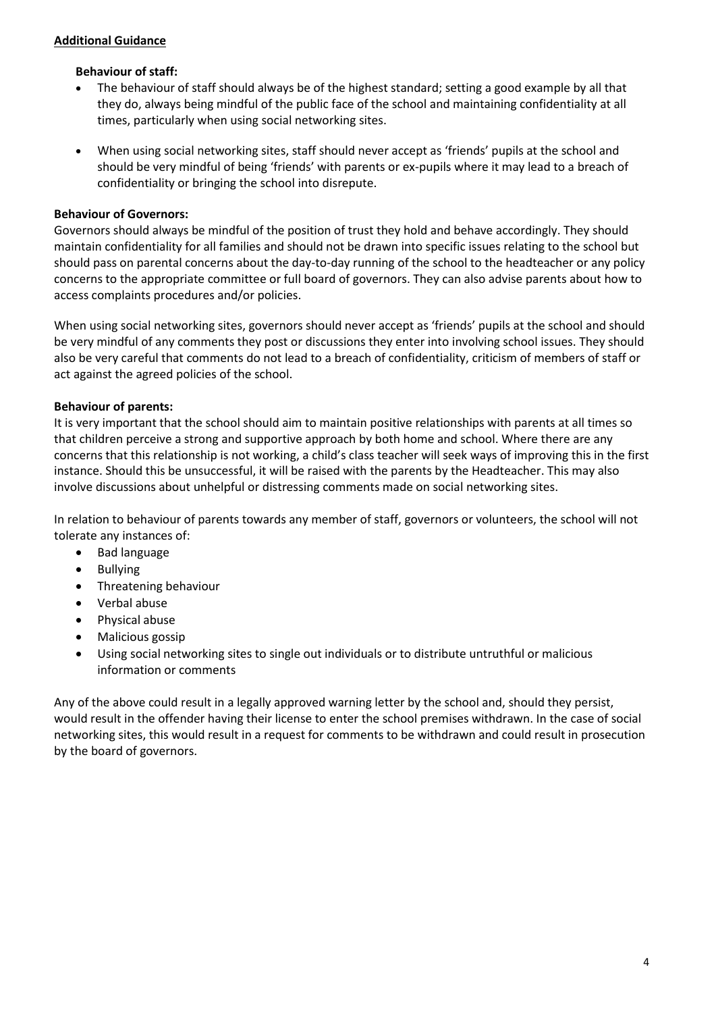#### **Additional Guidance**

#### **Behaviour of staff:**

- The behaviour of staff should always be of the highest standard; setting a good example by all that they do, always being mindful of the public face of the school and maintaining confidentiality at all times, particularly when using social networking sites.
- When using social networking sites, staff should never accept as 'friends' pupils at the school and should be very mindful of being 'friends' with parents or ex-pupils where it may lead to a breach of confidentiality or bringing the school into disrepute.

#### **Behaviour of Governors:**

Governors should always be mindful of the position of trust they hold and behave accordingly. They should maintain confidentiality for all families and should not be drawn into specific issues relating to the school but should pass on parental concerns about the day-to-day running of the school to the headteacher or any policy concerns to the appropriate committee or full board of governors. They can also advise parents about how to access complaints procedures and/or policies.

When using social networking sites, governors should never accept as 'friends' pupils at the school and should be very mindful of any comments they post or discussions they enter into involving school issues. They should also be very careful that comments do not lead to a breach of confidentiality, criticism of members of staff or act against the agreed policies of the school.

#### **Behaviour of parents:**

It is very important that the school should aim to maintain positive relationships with parents at all times so that children perceive a strong and supportive approach by both home and school. Where there are any concerns that this relationship is not working, a child's class teacher will seek ways of improving this in the first instance. Should this be unsuccessful, it will be raised with the parents by the Headteacher. This may also involve discussions about unhelpful or distressing comments made on social networking sites.

In relation to behaviour of parents towards any member of staff, governors or volunteers, the school will not tolerate any instances of:

- Bad language
- Bullying
- Threatening behaviour
- Verbal abuse
- Physical abuse
- Malicious gossip
- Using social networking sites to single out individuals or to distribute untruthful or malicious information or comments

Any of the above could result in a legally approved warning letter by the school and, should they persist, would result in the offender having their license to enter the school premises withdrawn. In the case of social networking sites, this would result in a request for comments to be withdrawn and could result in prosecution by the board of governors.